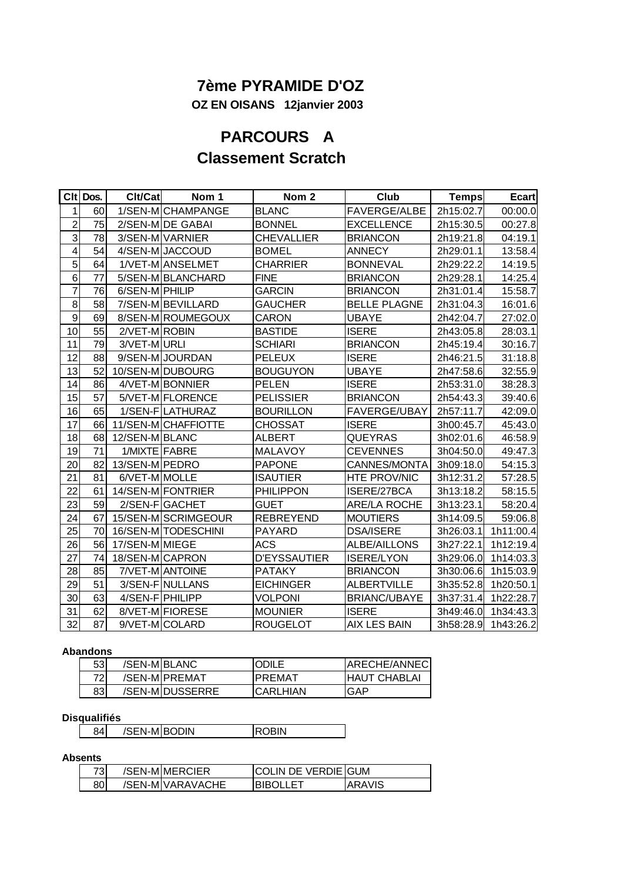# **7ème PYRAMIDE D'OZ**

 **OZ EN OISANS 12janvier 2003**

# **PARCOURS A Classement Scratch**

|                         | CIt Dos. | Clt/Cat         | Nom 1               | Nom <sub>2</sub>    | Club                | <b>Temps</b> | <b>Ecart</b> |
|-------------------------|----------|-----------------|---------------------|---------------------|---------------------|--------------|--------------|
| 1                       | 60       |                 | 1/SEN-M CHAMPANGE   | <b>BLANC</b>        | <b>FAVERGE/ALBE</b> | 2h15:02.7    | 00:00.0      |
| $\overline{c}$          | 75       |                 | 2/SEN-M DE GABAI    | <b>BONNEL</b>       | <b>EXCELLENCE</b>   | 2h15:30.5    | 00:27.8      |
| ω                       | 78       |                 | 3/SEN-M VARNIER     | <b>CHEVALLIER</b>   | <b>BRIANCON</b>     | 2h19:21.8    | 04:19.1      |
| $\overline{\mathbf{4}}$ | 54       |                 | 4/SEN-M JACCOUD     | <b>BOMEL</b>        | <b>ANNECY</b>       | 2h29:01.1    | 13:58.4      |
| $\overline{5}$          | 64       |                 | 1/VET-MANSELMET     | <b>CHARRIER</b>     | <b>BONNEVAL</b>     | 2h29:22.2    | 14:19.5      |
| 6                       | 77       |                 | 5/SEN-M BLANCHARD   | <b>FINE</b>         | <b>BRIANCON</b>     | 2h29:28.1    | 14:25.4      |
| $\overline{7}$          | 76       | 6/SEN-M PHILIP  |                     | <b>GARCIN</b>       | <b>BRIANCON</b>     | 2h31:01.4    | 15:58.7      |
| 8                       | 58       |                 | 7/SEN-M BEVILLARD   | <b>GAUCHER</b>      | <b>BELLE PLAGNE</b> | 2h31:04.3    | 16:01.6      |
| $\boldsymbol{9}$        | 69       |                 | 8/SEN-M ROUMEGOUX   | CARON               | <b>UBAYE</b>        | 2h42:04.7    | 27:02.0      |
| 10                      | 55       | 2/VET-M ROBIN   |                     | <b>BASTIDE</b>      | <b>ISERE</b>        | 2h43:05.8    | 28:03.1      |
| 11                      | 79       | 3/VET-MURLI     |                     | <b>SCHIARI</b>      | <b>BRIANCON</b>     | 2h45:19.4    | 30:16.7      |
| 12                      | 88       |                 | 9/SEN-M JOURDAN     | <b>PELEUX</b>       | <b>ISERE</b>        | 2h46:21.5    | 31:18.8      |
| 13                      | 52       |                 | 10/SEN-M DUBOURG    | <b>BOUGUYON</b>     | <b>UBAYE</b>        | 2h47:58.6    | 32:55.9      |
| 14                      | 86       |                 | 4/VET-M BONNIER     | <b>PELEN</b>        | <b>ISERE</b>        | 2h53:31.0    | 38:28.3      |
| 15                      | 57       |                 | 5/VET-MFLORENCE     | <b>PELISSIER</b>    | <b>BRIANCON</b>     | 2h54:43.3    | 39:40.6      |
| 16                      | 65       |                 | 1/SEN-FLATHURAZ     | <b>BOURILLON</b>    | <b>FAVERGE/UBAY</b> | 2h57:11.7    | 42:09.0      |
| 17                      | 66       |                 | 11/SEN-MCHAFFIOTTE  | <b>CHOSSAT</b>      | <b>ISERE</b>        | 3h00:45.7    | 45:43.0      |
| 18                      | 68       | 12/SEN-M BLANC  |                     | <b>ALBERT</b>       | QUEYRAS             | 3h02:01.6    | 46:58.9      |
| 19                      | 71       | 1/MIXTE FABRE   |                     | <b>MALAVOY</b>      | <b>CEVENNES</b>     | 3h04:50.0    | 49:47.3      |
| 20                      | 82       | 13/SEN-M PEDRO  |                     | <b>PAPONE</b>       | CANNES/MONTA        | 3h09:18.0    | 54:15.3      |
| 21                      | 81       | 6/VET-M MOLLE   |                     | <b>ISAUTIER</b>     | <b>HTE PROV/NIC</b> | 3h12:31.2    | 57:28.5      |
| 22                      | 61       |                 | 14/SEN-M FONTRIER   | <b>PHILIPPON</b>    | ISERE/27BCA         | 3h13:18.2    | 58:15.5      |
| 23                      | 59       |                 | 2/SEN-FGACHET       | <b>GUET</b>         | <b>ARE/LA ROCHE</b> | 3h13:23.1    | 58:20.4      |
| 24                      | 67       |                 | 15/SEN-M SCRIMGEOUR | <b>REBREYEND</b>    | <b>MOUTIERS</b>     | 3h14:09.5    | 59:06.8      |
| 25                      | 70       |                 | 16/SEN-M TODESCHINI | <b>PAYARD</b>       | <b>DSA/ISERE</b>    | 3h26:03.1    | 1h11:00.4    |
| 26                      | 56       | 17/SEN-M MIEGE  |                     | ACS                 | <b>ALBE/AILLONS</b> | 3h27:22.1    | 1h12:19.4    |
| 27                      | 74       | 18/SEN-MICAPRON |                     | <b>D'EYSSAUTIER</b> | <b>ISERE/LYON</b>   | 3h29:06.0    | 1h14:03.3    |
| 28                      | 85       |                 | 7/VET-MANTOINE      | <b>PATAKY</b>       | <b>BRIANCON</b>     | 3h30:06.6    | 1h15:03.9    |
| 29                      | 51       |                 | 3/SEN-FINULLANS     | <b>EICHINGER</b>    | <b>ALBERTVILLE</b>  | 3h35:52.8    | 1h20:50.1    |
| 30                      | 63       | 4/SEN-F PHILIPP |                     | <b>VOLPONI</b>      | <b>BRIANC/UBAYE</b> | 3h37:31.4    | 1h22:28.7    |
| 31                      | 62       |                 | 8/VET-MIFIORESE     | <b>MOUNIER</b>      | <b>ISERE</b>        | 3h49:46.0    | 1h34:43.3    |
| 32                      | 87       |                 | 9/VET-MCOLARD       | <b>ROUGELOT</b>     | <b>AIX LES BAIN</b> | 3h58:28.9    | 1h43:26.2    |

### **Abandons**

| 53  | /SEN-MIBLANC |                 | ODILE     | IARECHE/ANNECI       |
|-----|--------------|-----------------|-----------|----------------------|
| 72  |              | /SEN-MIPREMAT   | PREMAT    | <b>IHAUT CHABLAI</b> |
| 831 |              | /SEN-MIDUSSERRE | ICARLHIAN | <b>GAP</b>           |

### **Disqualifiés**

| .       |      |       |     |
|---------|------|-------|-----|
| RΔ<br>ັ | MIR( | Bodin | אוכ |
|         |      |       |     |

### **Absents**

| 73 <sub>l</sub> | /SEN-MIMERCIER   | <b>ICOLIN DE VERDIE IGUM</b> |               |
|-----------------|------------------|------------------------------|---------------|
| 80l             | /SEN-MIVARAVACHE | <b>BIBOLLET</b>              | <b>ARAVIS</b> |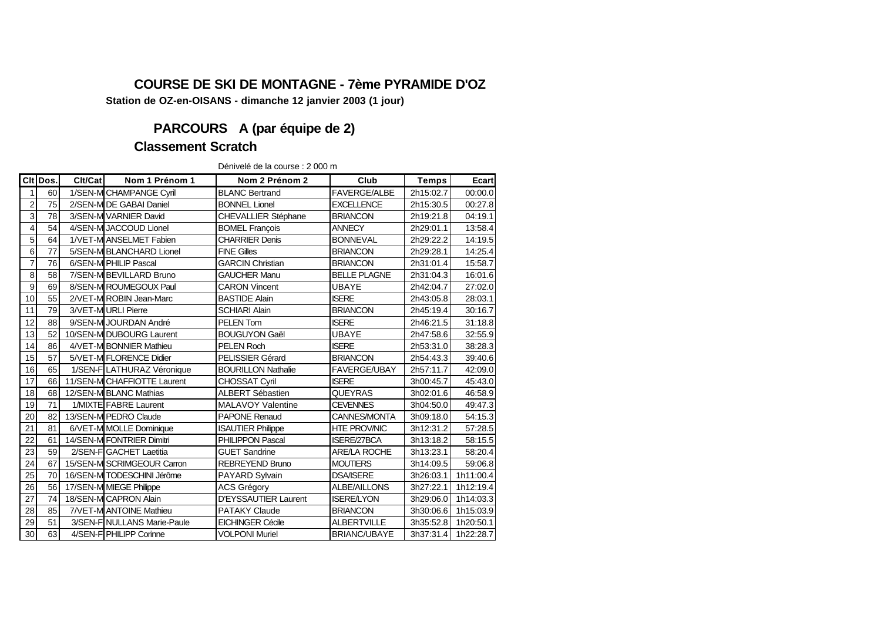## **COURSE DE SKI DE MONTAGNE - 7ème PYRAMIDE D'OZ**

**Station de OZ-en-OISANS - dimanche 12 janvier 2003 (1 jour)**

# **PARCOURS A (par équipe de 2)**

### **Classement Scratch**

Dénivelé de la course : 2 000 m

|                | CIt Dos. | Clt/Cat | Nom 1 Prénom 1                 | Nom 2 Prénom 2              | Club                | <b>Temps</b> | <b>Ecart</b> |
|----------------|----------|---------|--------------------------------|-----------------------------|---------------------|--------------|--------------|
|                | 60       |         | 1/SEN-M CHAMPANGE Cyril        | <b>BLANC Bertrand</b>       | <b>FAVERGE/ALBE</b> | 2h15:02.7    | 00:00.0      |
| $\overline{2}$ | 75       |         | 2/SEN-M DE GABAI Daniel        | <b>BONNEL Lionel</b>        | <b>EXCELLENCE</b>   | 2h15:30.5    | 00:27.8      |
| 3              | 78       |         | 3/SEN-M VARNIER David          | <b>CHEVALLIER Stéphane</b>  | <b>BRIANCON</b>     | 2h19:21.8    | 04:19.1      |
| 4              | 54       |         | 4/SEN-M JACCOUD Lionel         | <b>BOMEL François</b>       | <b>ANNECY</b>       | 2h29:01.1    | 13:58.4      |
| 5              | 64       |         | 1/VET-M ANSELMET Fabien        | <b>CHARRIER Denis</b>       | <b>BONNEVAL</b>     | 2h29:22.2    | 14:19.5      |
| 6              | 77       |         | 5/SEN-M BLANCHARD Lionel       | <b>FINE Gilles</b>          | <b>BRIANCON</b>     | 2h29:28.1    | 14:25.4      |
| $\overline{7}$ | 76       |         | 6/SEN-M PHILIP Pascal          | <b>GARCIN Christian</b>     | <b>BRIANCON</b>     | 2h31:01.4    | 15:58.7      |
| 8              | 58       |         | 7/SEN-M BEVILLARD Bruno        | <b>GAUCHER Manu</b>         | <b>BELLE PLAGNE</b> | 2h31:04.3    | 16:01.6      |
| 9              | 69       |         | 8/SEN-M ROUMEGOUX Paul         | <b>CARON Vincent</b>        | <b>UBAYE</b>        | 2h42:04.7    | 27:02.0      |
| 10             | 55       |         | 2/VET-M ROBIN Jean-Marc        | <b>BASTIDE Alain</b>        | <b>ISERE</b>        | 2h43:05.8    | 28:03.1      |
| 11             | 79       |         | 3/VET-MURLI Pierre             | <b>SCHIARI Alain</b>        | <b>BRIANCON</b>     | 2h45:19.4    | 30:16.7      |
| 12             | 88       |         | 9/SEN-M JOURDAN André          | <b>PELEN Tom</b>            | <b>ISERE</b>        | 2h46:21.5    | 31:18.8      |
| 13             | 52       |         | 10/SEN-M DUBOURG Laurent       | <b>BOUGUYON Gaël</b>        | UBAYE               | 2h47:58.6    | 32:55.9      |
| 14             | 86       |         | 4/VET-M BONNIER Mathieu        | <b>PELEN Roch</b>           | <b>ISERE</b>        | 2h53:31.0    | 38:28.3      |
| 15             | 57       |         | 5/VET-M FLORENCE Didier        | <b>PELISSIER Gérard</b>     | <b>BRIANCON</b>     | 2h54:43.3    | 39:40.6      |
| 16             | 65       |         | 1/SEN-FLATHURAZ Véronique      | <b>BOURILLON Nathalie</b>   | <b>FAVERGE/UBAY</b> | 2h57:11.7    | 42:09.0      |
| 17             | 66       |         | 11/SEN-MCHAFFIOTTE Laurent     | <b>CHOSSAT Cyril</b>        | <b>ISERE</b>        | 3h00:45.7    | 45:43.0      |
| 18             | 68       |         | 12/SEN-M BLANC Mathias         | <b>ALBERT Sébastien</b>     | <b>QUEYRAS</b>      | 3h02:01.6    | 46:58.9      |
| 19             | 71       |         | 1/MIXTE FABRE Laurent          | <b>MALAVOY Valentine</b>    | <b>CEVENNES</b>     | 3h04:50.0    | 49:47.3      |
| 20             | 82       |         | 13/SEN-M PEDRO Claude          | <b>PAPONE Renaud</b>        | <b>CANNES/MONTA</b> | 3h09:18.0    | 54:15.3      |
| 21             | 81       |         | 6/VET-M MOLLE Dominique        | <b>ISAUTIER Philippe</b>    | <b>HTE PROV/NIC</b> | 3h12:31.2    | 57:28.5      |
| 22             | 61       |         | 14/SEN-M FONTRIER Dimitri      | <b>PHILIPPON Pascal</b>     | <b>ISERE/27BCA</b>  | 3h13:18.2    | 58:15.5      |
| 23             | 59       |         | 2/SEN-FIGACHET Laetitia        | <b>GUET Sandrine</b>        | <b>ARE/LA ROCHE</b> | 3h13:23.1    | 58:20.4      |
| 24             | 67       |         | 15/SEN-M SCRIMGEOUR Carron     | <b>REBREYEND Bruno</b>      | <b>MOUTIERS</b>     | 3h14:09.5    | 59:06.8      |
| 25             | 70       |         | 16/SEN-M TODESCHINI Jérôme     | PAYARD Sylvain              | <b>DSA/ISERE</b>    | 3h26:03.1    | 1h11:00.4    |
| 26             | 56       |         | 17/SEN-M MIEGE Philippe        | ACS Grégory                 | ALBE/AILLONS        | 3h27:22.1    | 1h12:19.4    |
| 27             | 74       |         | 18/SEN-M CAPRON Alain          | <b>D'EYSSAUTIER Laurent</b> | <b>ISERE/LYON</b>   | 3h29:06.0    | 1h14:03.3    |
| 28             | 85       |         | <b>7/VET-M ANTOINE Mathieu</b> | <b>PATAKY Claude</b>        | <b>BRIANCON</b>     | 3h30:06.6    | 1h15:03.9    |
| 29             | 51       |         | 3/SEN-FINULLANS Marie-Paule    | <b>EICHINGER Cécile</b>     | <b>ALBERTVILLE</b>  | 3h35:52.8    | 1h20:50.1    |
| 30             | 63       |         | 4/SEN-FIPHILIPP Corinne        | <b>VOLPONI Muriel</b>       | <b>BRIANC/UBAYE</b> | 3h37:31.4    | 1h22:28.7    |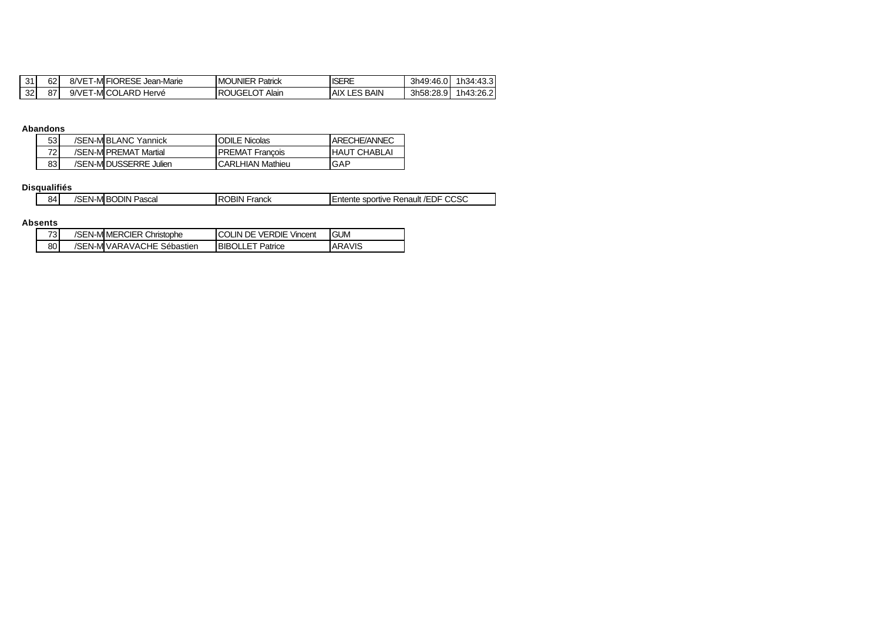| 31 | $\sim$<br>٥z   | 8/VE<br>-M            | <b>FIORESE</b><br>-Marie<br>Jean | <b>MOUNIER</b><br>Patrick      | <b>ISEDE</b><br><b>IDERE</b>   | 3h49:46.0 | 1h34:43.3 |
|----|----------------|-----------------------|----------------------------------|--------------------------------|--------------------------------|-----------|-----------|
| 32 | 0 <sub>7</sub> | $9$ $NF$<br>-M<br>.,, | ` ARL<br>Hervé                   | Alair<br>ΙR<br>'JGE<br>.<br>-- | <b>BAIN</b><br>AIX<br>∴⊏ଦ<br>ᅩ | 3h58:28.5 | 1h43:26.2 |

### **Abandons**

| 53 I | /SEN-MIBLANC Yannick   | ODILE Nicolas          | ARECHE/ANNEC        |  |
|------|------------------------|------------------------|---------------------|--|
| 721  | /SEN-MIPREMAT Martial  | <b>PREMAT Francois</b> | <b>HAUT CHABLAI</b> |  |
| 83 I | /SEN-MIDUSSERRE Julien | ICARLHIAN Mathieu      | IGAP                |  |

#### **Disqualifiés**

| 84 | :N-MI<br>◡ | Pascal<br><b>JODIN</b> | <b>OBIN</b><br>Franck<br>∙ю | 0000<br>⊣ DF<br>sportive<br>Renault<br>. Entente<br>$^{\prime}$<br>UUSL |
|----|------------|------------------------|-----------------------------|-------------------------------------------------------------------------|
|----|------------|------------------------|-----------------------------|-------------------------------------------------------------------------|

#### **Absents**

| 731  | /SEN-MIMERCIER Christophe  | <b>ICOLIN DE VERDIE Vincent</b> | <b>GUM</b>    |
|------|----------------------------|---------------------------------|---------------|
| 80 l | /SEN-MIVARAVACHE Sébastien | <b>BIBOLLET Patrice</b>         | <b>ARAVIS</b> |